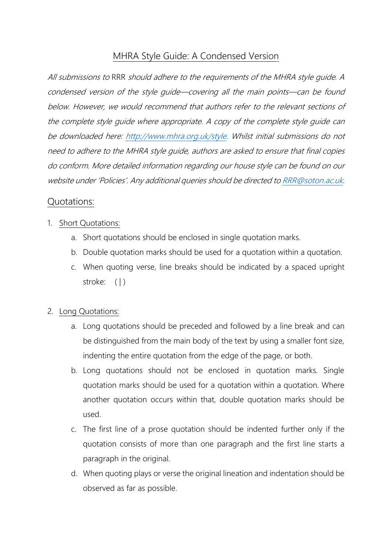# MHRA Style Guide: A Condensed Version

All submissions to RRR should adhere to the requirements of the MHRA style guide. A condensed version of the style guide—covering all the main points—can be found below. However, we would recommend that authors refer to the relevant sections of the complete style guide where appropriate. A copy of the complete style guide can be downloaded here: [http://www.mhra.org.uk/style.](http://www.mhra.org.uk/style) Whilst initial submissions do not need to adhere to the MHRA style guide, authors are asked to ensure that final copies do conform. More detailed information regarding our house style can be found on our website under 'Policies'. Any additional queries should be directed t[o RRR@soton.ac.uk.](mailto:RRR@soton.ac.uk)

# Quotations:

### 1. Short Quotations:

- a. Short quotations should be enclosed in single quotation marks.
- b. Double quotation marks should be used for a quotation within a quotation.
- c. When quoting verse, line breaks should be indicated by a spaced upright stroke: ( | )

# 2. Long Quotations:

- a. Long quotations should be preceded and followed by a line break and can be distinguished from the main body of the text by using a smaller font size, indenting the entire quotation from the edge of the page, or both.
- b. Long quotations should not be enclosed in quotation marks. Single quotation marks should be used for a quotation within a quotation. Where another quotation occurs within that, double quotation marks should be used.
- c. The first line of a prose quotation should be indented further only if the quotation consists of more than one paragraph and the first line starts a paragraph in the original.
- d. When quoting plays or verse the original lineation and indentation should be observed as far as possible.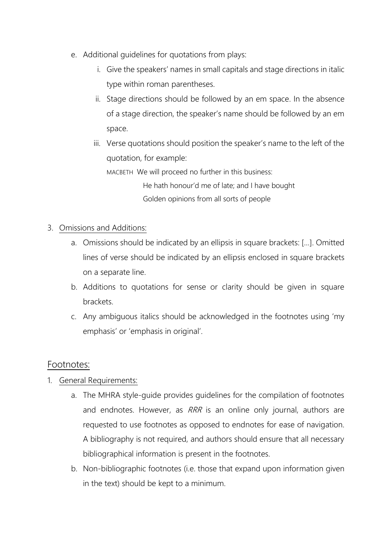- e. Additional guidelines for quotations from plays:
	- i. Give the speakers' names in small capitals and stage directions in italic type within roman parentheses.
	- ii. Stage directions should be followed by an em space. In the absence of a stage direction, the speaker's name should be followed by an em space.
	- iii. Verse quotations should position the speaker's name to the left of the quotation, for example:

MACBETH We will proceed no further in this business:

 He hath honour'd me of late; and I have bought Golden opinions from all sorts of people

- 3. Omissions and Additions:
	- a. Omissions should be indicated by an ellipsis in square brackets: […]. Omitted lines of verse should be indicated by an ellipsis enclosed in square brackets on a separate line.
	- b. Additions to quotations for sense or clarity should be given in square brackets.
	- c. Any ambiguous italics should be acknowledged in the footnotes using 'my emphasis' or 'emphasis in original'.

# Footnotes:

- 1. General Requirements:
	- a. The MHRA style-guide provides guidelines for the compilation of footnotes and endnotes. However, as RRR is an online only journal, authors are requested to use footnotes as opposed to endnotes for ease of navigation. A bibliography is not required, and authors should ensure that all necessary bibliographical information is present in the footnotes.
	- b. Non-bibliographic footnotes (i.e. those that expand upon information given in the text) should be kept to a minimum.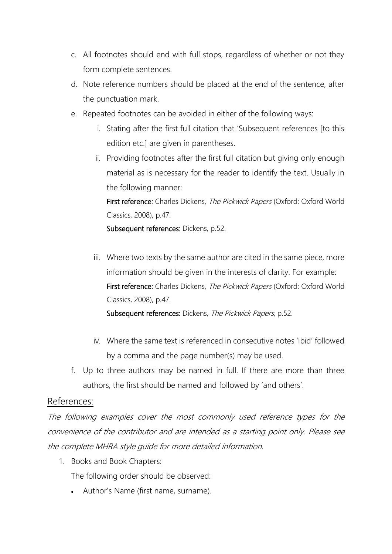- c. All footnotes should end with full stops, regardless of whether or not they form complete sentences.
- d. Note reference numbers should be placed at the end of the sentence, after the punctuation mark.
- e. Repeated footnotes can be avoided in either of the following ways:
	- i. Stating after the first full citation that 'Subsequent references [to this edition etc.] are given in parentheses.
	- ii. Providing footnotes after the first full citation but giving only enough material as is necessary for the reader to identify the text. Usually in the following manner:

First reference: Charles Dickens, The Pickwick Papers (Oxford: Oxford World Classics, 2008), p.47.

Subsequent references: Dickens, p.52.

iii. Where two texts by the same author are cited in the same piece, more information should be given in the interests of clarity. For example: First reference: Charles Dickens, The Pickwick Papers (Oxford: Oxford World Classics, 2008), p.47.

Subsequent references: Dickens, The Pickwick Papers, p.52.

- iv. Where the same text is referenced in consecutive notes 'Ibid' followed by a comma and the page number(s) may be used.
- f. Up to three authors may be named in full. If there are more than three authors, the first should be named and followed by 'and others'.

# References:

The following examples cover the most commonly used reference types for the convenience of the contributor and are intended as a starting point only. Please see the complete MHRA style guide for more detailed information.

1. Books and Book Chapters:

The following order should be observed:

• Author's Name (first name, surname).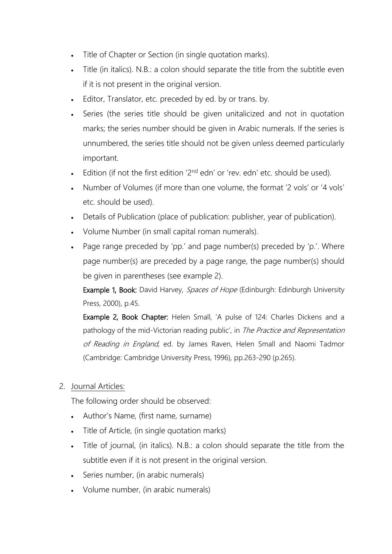- Title of Chapter or Section (in single quotation marks).
- Title (in italics). N.B.: a colon should separate the title from the subtitle even if it is not present in the original version.
- Editor, Translator, etc. preceded by ed. by or trans. by.
- Series (the series title should be given unitalicized and not in quotation marks; the series number should be given in Arabic numerals. If the series is unnumbered, the series title should not be given unless deemed particularly important.
- Edition (if not the first edition ' $2<sup>nd</sup>$  edn' or 'rev. edn' etc. should be used).
- Number of Volumes (if more than one volume, the format '2 vols' or '4 vols' etc. should be used).
- Details of Publication (place of publication: publisher, year of publication).
- Volume Number (in small capital roman numerals).
- Page range preceded by 'pp.' and page number(s) preceded by 'p.'. Where page number(s) are preceded by a page range, the page number(s) should be given in parentheses (see example 2).

Example 1, Book: David Harvey, Spaces of Hope (Edinburgh: Edinburgh University Press, 2000), p.45.

Example 2, Book Chapter: Helen Small, 'A pulse of 124: Charles Dickens and a pathology of the mid-Victorian reading public', in The Practice and Representation of Reading in England, ed. by James Raven, Helen Small and Naomi Tadmor (Cambridge: Cambridge University Press, 1996), pp.263-290 (p.265).

2. Journal Articles:

The following order should be observed:

- Author's Name, (first name, surname)
- Title of Article, (in single quotation marks)
- Title of journal, (in italics). N.B.: a colon should separate the title from the subtitle even if it is not present in the original version.
- Series number, (in arabic numerals)
- Volume number, (in arabic numerals)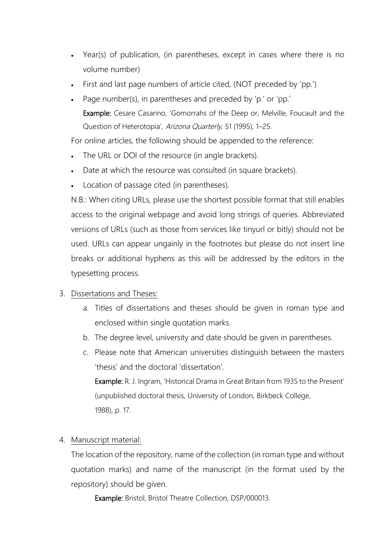- Year(s) of publication, (in parentheses, except in cases where there is no volume number)
- First and last page numbers of article cited, (NOT preceded by 'pp.')
- Page number(s), in parentheses and preceded by 'p.' or 'pp.' Example: Cesare Casarino, 'Gomorrahs of the Deep or, Melville, Foucault and the Question of Heterotopia', Arizona Quarterly, 51 (1995), 1-25.

For online articles, the following should be appended to the reference:

- The URL or DOI of the resource (in angle brackets).
- Date at which the resource was consulted (in square brackets).
- Location of passage cited (in parentheses).

N.B.: When citing URLs, please use the shortest possible format that still enables access to the original webpage and avoid long strings of queries. Abbreviated versions of URLs (such as those from services like tinyurl or bitly) should not be used. URLs can appear ungainly in the footnotes but please do not insert line breaks or additional hyphens as this will be addressed by the editors in the typesetting process.

#### 3. Dissertations and Theses:

- a. Titles of dissertations and theses should be given in roman type and enclosed within single quotation marks.
- b. The degree level, university and date should be given in parentheses.
- c. Please note that American universities distinguish between the masters 'thesis' and the doctoral 'dissertation'. Example: R. J. Ingram, 'Historical Drama in Great Britain from 1935 to the Present' (unpublished doctoral thesis, University of London, Birkbeck College, 1988), p. 17.

#### 4. Manuscript material:

The location of the repository, name of the collection (in roman type and without quotation marks) and name of the manuscript (in the format used by the repository) should be given.

Example: Bristol, Bristol Theatre Collection, DSP/000013.